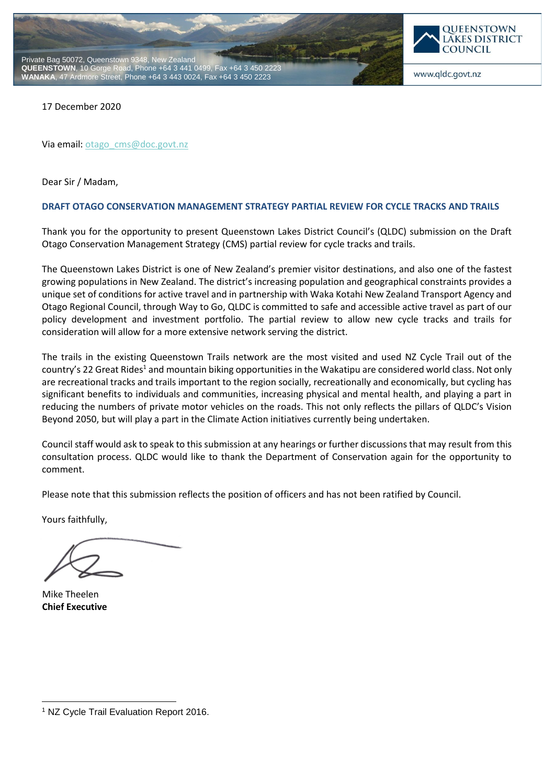



www.qldc.govt.nz

17 December 2020

Via email[: otago\\_cms@doc.govt.nz](mailto:otago_cms@doc.govt.nz)

Dear Sir / Madam,

## **DRAFT OTAGO CONSERVATION MANAGEMENT STRATEGY PARTIAL REVIEW FOR CYCLE TRACKS AND TRAILS**

Thank you for the opportunity to present Queenstown Lakes District Council's (QLDC) submission on the Draft Otago Conservation Management Strategy (CMS) partial review for cycle tracks and trails.

The Queenstown Lakes District is one of New Zealand's premier visitor destinations, and also one of the fastest growing populations in New Zealand. The district's increasing population and geographical constraints provides a unique set of conditions for active travel and in partnership with Waka Kotahi New Zealand Transport Agency and Otago Regional Council, through Way to Go, QLDC is committed to safe and accessible active travel as part of our policy development and investment portfolio. The partial review to allow new cycle tracks and trails for consideration will allow for a more extensive network serving the district.

The trails in the existing Queenstown Trails network are the most visited and used NZ Cycle Trail out of the country's 22 Great Rides<sup>1</sup> and mountain biking opportunities in the Wakatipu are considered world class. Not only are recreational tracks and trails important to the region socially, recreationally and economically, but cycling has significant benefits to individuals and communities, increasing physical and mental health, and playing a part in reducing the numbers of private motor vehicles on the roads. This not only reflects the pillars of QLDC's Vision Beyond 2050, but will play a part in the Climate Action initiatives currently being undertaken.

Council staff would ask to speak to this submission at any hearings or further discussions that may result from this consultation process. QLDC would like to thank the Department of Conservation again for the opportunity to comment.

Please note that this submission reflects the position of officers and has not been ratified by Council.

Yours faithfully,

Mike Theelen **Chief Executive**

-

<sup>1</sup> NZ Cycle Trail Evaluation Report 2016.